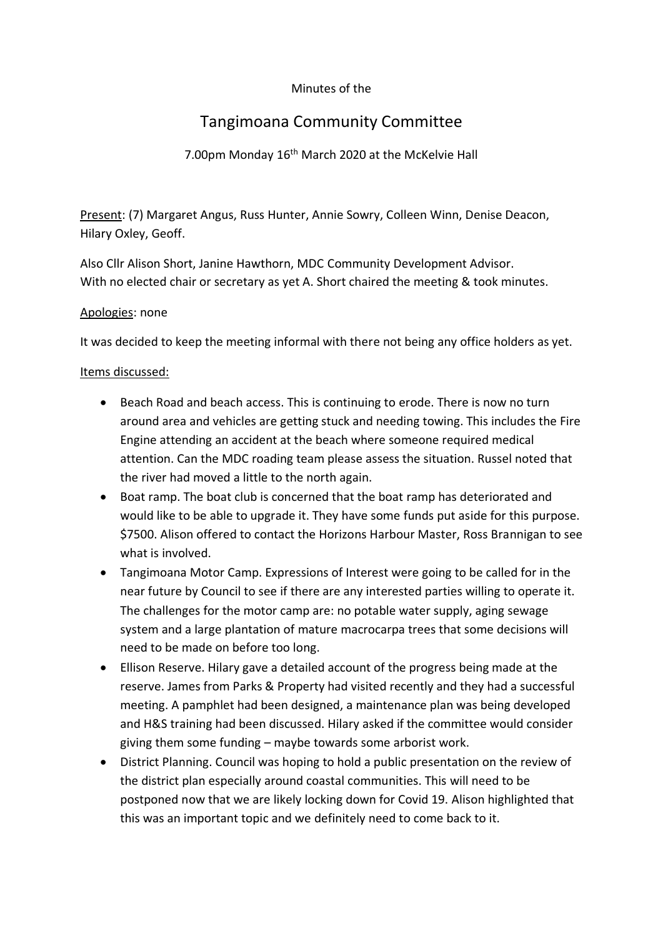### Minutes of the

# Tangimoana Community Committee

## 7.00pm Monday 16th March 2020 at the McKelvie Hall

Present: (7) Margaret Angus, Russ Hunter, Annie Sowry, Colleen Winn, Denise Deacon, Hilary Oxley, Geoff.

Also Cllr Alison Short, Janine Hawthorn, MDC Community Development Advisor. With no elected chair or secretary as yet A. Short chaired the meeting & took minutes.

#### Apologies: none

It was decided to keep the meeting informal with there not being any office holders as yet.

#### Items discussed:

- Beach Road and beach access. This is continuing to erode. There is now no turn around area and vehicles are getting stuck and needing towing. This includes the Fire Engine attending an accident at the beach where someone required medical attention. Can the MDC roading team please assess the situation. Russel noted that the river had moved a little to the north again.
- Boat ramp. The boat club is concerned that the boat ramp has deteriorated and would like to be able to upgrade it. They have some funds put aside for this purpose. \$7500. Alison offered to contact the Horizons Harbour Master, Ross Brannigan to see what is involved.
- Tangimoana Motor Camp. Expressions of Interest were going to be called for in the near future by Council to see if there are any interested parties willing to operate it. The challenges for the motor camp are: no potable water supply, aging sewage system and a large plantation of mature macrocarpa trees that some decisions will need to be made on before too long.
- Ellison Reserve. Hilary gave a detailed account of the progress being made at the reserve. James from Parks & Property had visited recently and they had a successful meeting. A pamphlet had been designed, a maintenance plan was being developed and H&S training had been discussed. Hilary asked if the committee would consider giving them some funding – maybe towards some arborist work.
- District Planning. Council was hoping to hold a public presentation on the review of the district plan especially around coastal communities. This will need to be postponed now that we are likely locking down for Covid 19. Alison highlighted that this was an important topic and we definitely need to come back to it.